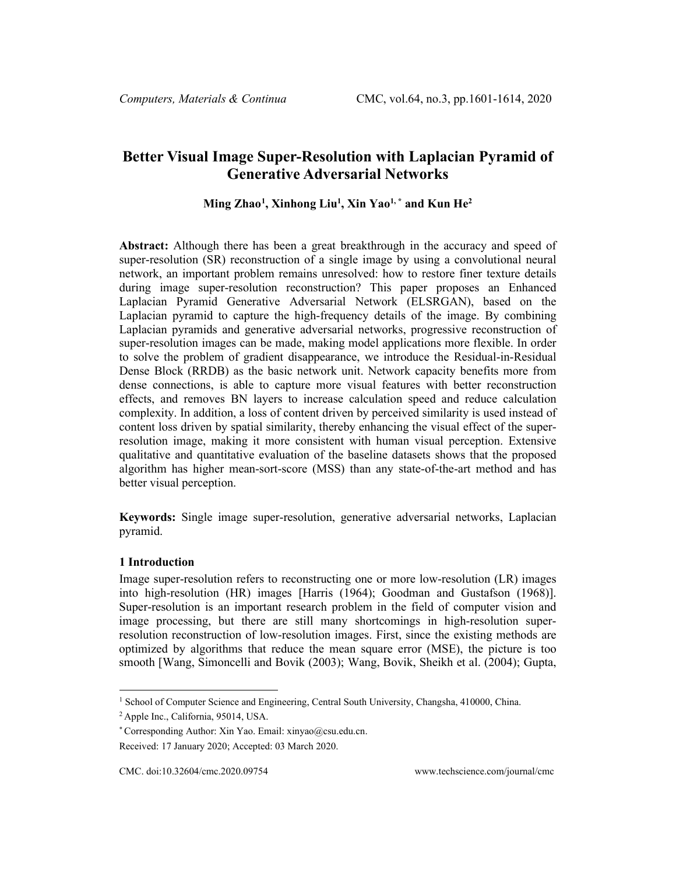# **Better Visual Image Super-Resolution with Laplacian Pyramid of Generative Adversarial Networks**

## **Ming Zhao[1](#page-0-0) , Xinhong Liu1 , Xin Yao1, \* and Kun He2**

**Abstract:** Although there has been a great breakthrough in the accuracy and speed of super-resolution (SR) reconstruction of a single image by using a convolutional neural network, an important problem remains unresolved: how to restore finer texture details during image super-resolution reconstruction? This paper proposes an Enhanced Laplacian Pyramid Generative Adversarial Network (ELSRGAN), based on the Laplacian pyramid to capture the high-frequency details of the image. By combining Laplacian pyramids and generative adversarial networks, progressive reconstruction of super-resolution images can be made, making model applications more flexible. In order to solve the problem of gradient disappearance, we introduce the Residual-in-Residual Dense Block (RRDB) as the basic network unit. Network capacity benefits more from dense connections, is able to capture more visual features with better reconstruction effects, and removes BN layers to increase calculation speed and reduce calculation complexity. In addition, a loss of content driven by perceived similarity is used instead of content loss driven by spatial similarity, thereby enhancing the visual effect of the superresolution image, making it more consistent with human visual perception. Extensive qualitative and quantitative evaluation of the baseline datasets shows that the proposed algorithm has higher mean-sort-score (MSS) than any state-of-the-art method and has better visual perception.

**Keywords:** Single image super-resolution, generative adversarial networks, Laplacian pyramid.

### **1 Introduction**

Image super-resolution refers to reconstructing one or more low-resolution (LR) images into high-resolution (HR) images [Harris (1964); Goodman and Gustafson (1968)]. Super-resolution is an important research problem in the field of computer vision and image processing, but there are still many shortcomings in high-resolution superresolution reconstruction of low-resolution images. First, since the existing methods are optimized by algorithms that reduce the mean square error (MSE), the picture is too smooth [Wang, Simoncelli and Bovik (2003); Wang, Bovik, Sheikh et al. (2004); Gupta,

<sup>&</sup>lt;sup>1</sup> School of Computer Science and Engineering, Central South University, Changsha, 410000, China.

<span id="page-0-0"></span><sup>2</sup> Apple Inc., California, 95014, USA.

<sup>\*</sup> Corresponding Author: Xin Yao. Email: xinyao@csu.edu.cn.

Received: 17 January 2020; Accepted: 03 March 2020.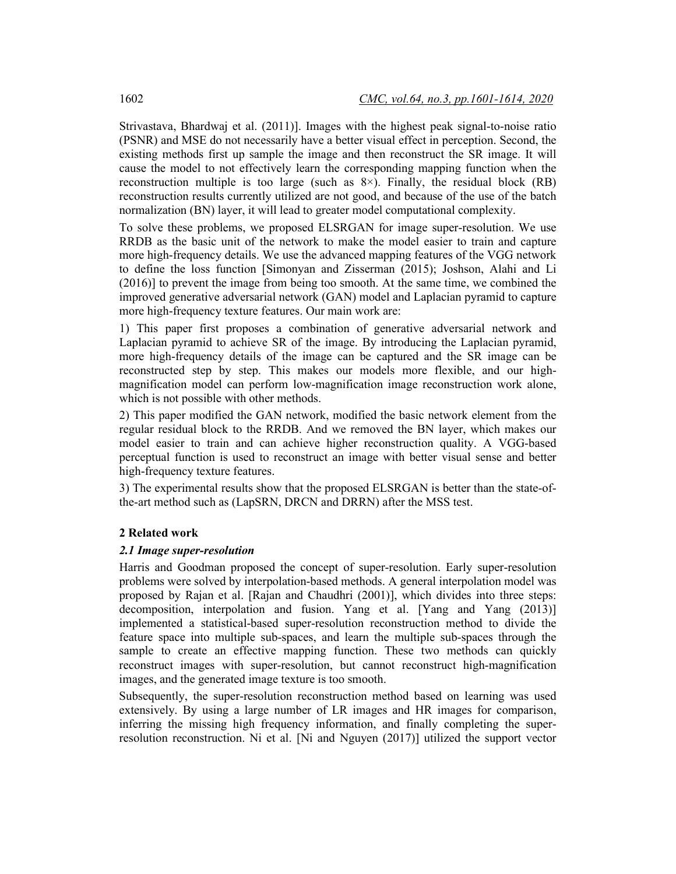Strivastava, Bhardwaj et al. (2011)]. Images with the highest peak signal-to-noise ratio (PSNR) and MSE do not necessarily have a better visual effect in perception. Second, the existing methods first up sample the image and then reconstruct the SR image. It will cause the model to not effectively learn the corresponding mapping function when the reconstruction multiple is too large (such as 8×). Finally, the residual block (RB) reconstruction results currently utilized are not good, and because of the use of the batch normalization (BN) layer, it will lead to greater model computational complexity.

To solve these problems, we proposed ELSRGAN for image super-resolution. We use RRDB as the basic unit of the network to make the model easier to train and capture more high-frequency details. We use the advanced mapping features of the VGG network to define the loss function [Simonyan and Zisserman (2015); Joshson, Alahi and Li (2016)] to prevent the image from being too smooth. At the same time, we combined the improved generative adversarial network (GAN) model and Laplacian pyramid to capture more high-frequency texture features. Our main work are:

1) This paper first proposes a combination of generative adversarial network and Laplacian pyramid to achieve SR of the image. By introducing the Laplacian pyramid, more high-frequency details of the image can be captured and the SR image can be reconstructed step by step. This makes our models more flexible, and our highmagnification model can perform low-magnification image reconstruction work alone, which is not possible with other methods.

2) This paper modified the GAN network, modified the basic network element from the regular residual block to the RRDB. And we removed the BN layer, which makes our model easier to train and can achieve higher reconstruction quality. A VGG-based perceptual function is used to reconstruct an image with better visual sense and better high-frequency texture features.

3) The experimental results show that the proposed ELSRGAN is better than the state-ofthe-art method such as (LapSRN, DRCN and DRRN) after the MSS test.

## **2 Related work**

## *2.1 Image super-resolution*

Harris and Goodman proposed the concept of super-resolution. Early super-resolution problems were solved by interpolation-based methods. A general interpolation model was proposed by Rajan et al. [Rajan and Chaudhri (2001)], which divides into three steps: decomposition, interpolation and fusion. Yang et al. [Yang and Yang (2013)] implemented a statistical-based super-resolution reconstruction method to divide the feature space into multiple sub-spaces, and learn the multiple sub-spaces through the sample to create an effective mapping function. These two methods can quickly reconstruct images with super-resolution, but cannot reconstruct high-magnification images, and the generated image texture is too smooth.

Subsequently, the super-resolution reconstruction method based on learning was used extensively. By using a large number of LR images and HR images for comparison, inferring the missing high frequency information, and finally completing the superresolution reconstruction. Ni et al. [Ni and Nguyen (2017)] utilized the support vector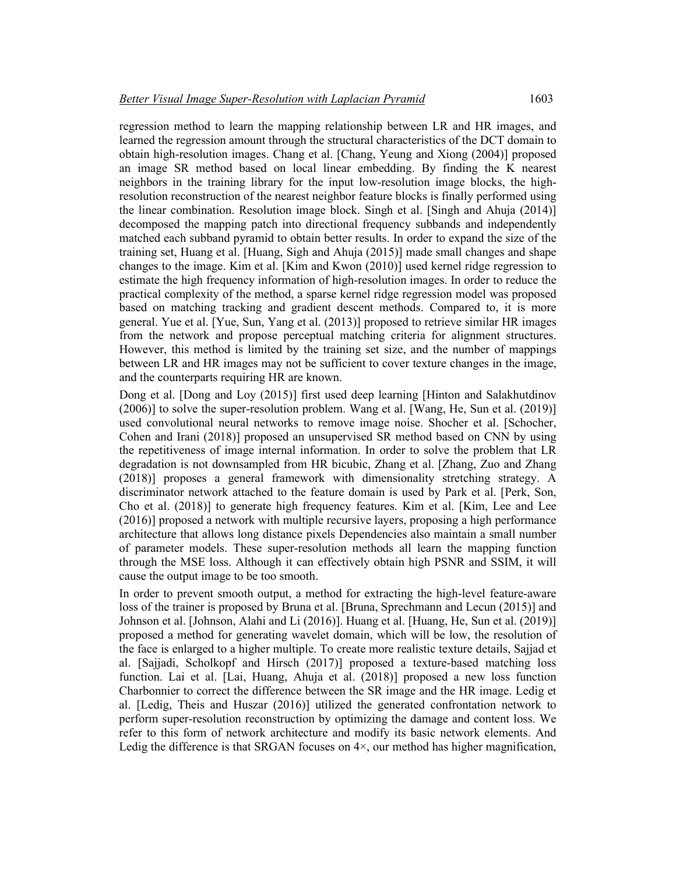regression method to learn the mapping relationship between LR and HR images, and learned the regression amount through the structural characteristics of the DCT domain to obtain high-resolution images. Chang et al. [Chang, Yeung and Xiong (2004)] proposed an image SR method based on local linear embedding. By finding the K nearest neighbors in the training library for the input low-resolution image blocks, the highresolution reconstruction of the nearest neighbor feature blocks is finally performed using the linear combination. Resolution image block. Singh et al. [Singh and Ahuja (2014)] decomposed the mapping patch into directional frequency subbands and independently matched each subband pyramid to obtain better results. In order to expand the size of the training set, Huang et al. [Huang, Sigh and Ahuja (2015)] made small changes and shape changes to the image. Kim et al. [Kim and Kwon (2010)] used kernel ridge regression to estimate the high frequency information of high-resolution images. In order to reduce the practical complexity of the method, a sparse kernel ridge regression model was proposed based on matching tracking and gradient descent methods. Compared to, it is more general. Yue et al. [Yue, Sun, Yang et al. (2013)] proposed to retrieve similar HR images from the network and propose perceptual matching criteria for alignment structures. However, this method is limited by the training set size, and the number of mappings between LR and HR images may not be sufficient to cover texture changes in the image, and the counterparts requiring HR are known.

Dong et al. [Dong and Loy (2015)] first used deep learning [Hinton and Salakhutdinov (2006)] to solve the super-resolution problem. Wang et al. [Wang, He, Sun et al. (2019)] used convolutional neural networks to remove image noise. Shocher et al. [Schocher, Cohen and Irani (2018)] proposed an unsupervised SR method based on CNN by using the repetitiveness of image internal information. In order to solve the problem that LR degradation is not downsampled from HR bicubic, Zhang et al. [Zhang, Zuo and Zhang (2018)] proposes a general framework with dimensionality stretching strategy. A discriminator network attached to the feature domain is used by Park et al. [Perk, Son, Cho et al. (2018)] to generate high frequency features. Kim et al. [Kim, Lee and Lee (2016)] proposed a network with multiple recursive layers, proposing a high performance architecture that allows long distance pixels Dependencies also maintain a small number of parameter models. These super-resolution methods all learn the mapping function through the MSE loss. Although it can effectively obtain high PSNR and SSIM, it will cause the output image to be too smooth.

In order to prevent smooth output, a method for extracting the high-level feature-aware loss of the trainer is proposed by Bruna et al. [Bruna, Sprechmann and Lecun (2015)] and Johnson et al. [Johnson, Alahi and Li (2016)]. Huang et al. [Huang, He, Sun et al. (2019)] proposed a method for generating wavelet domain, which will be low, the resolution of the face is enlarged to a higher multiple. To create more realistic texture details, Sajjad et al. [Sajjadi, Scholkopf and Hirsch (2017)] proposed a texture-based matching loss function. Lai et al. [Lai, Huang, Ahuja et al. (2018)] proposed a new loss function Charbonnier to correct the difference between the SR image and the HR image. Ledig et al. [Ledig, Theis and Huszar (2016)] utilized the generated confrontation network to perform super-resolution reconstruction by optimizing the damage and content loss. We refer to this form of network architecture and modify its basic network elements. And Ledig the difference is that SRGAN focuses on  $4\times$ , our method has higher magnification,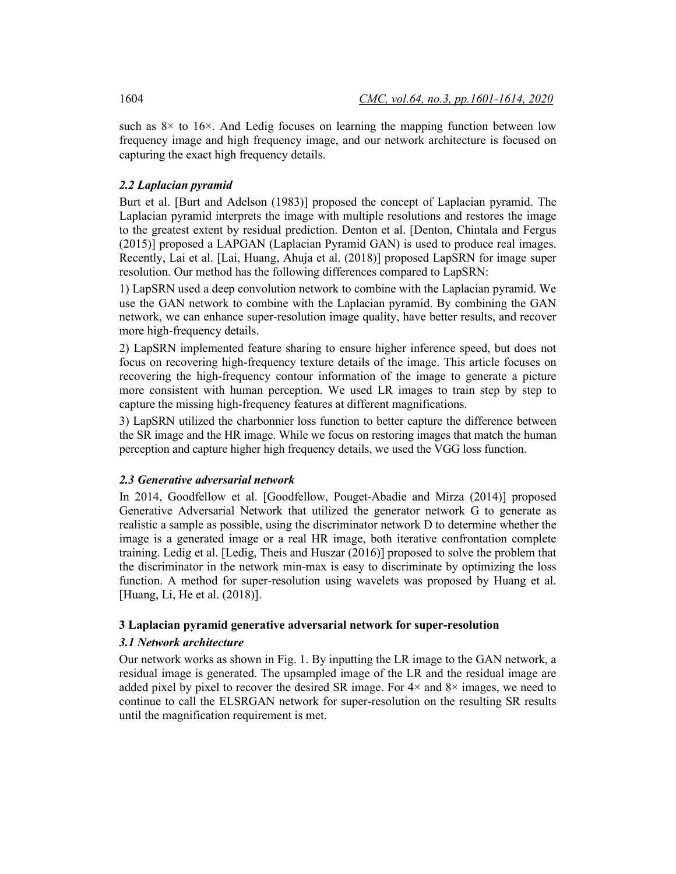such as  $8\times$  to  $16\times$ . And Ledig focuses on learning the mapping function between low frequency image and high frequency image, and our network architecture is focused on capturing the exact high frequency details.

## *2.2 Laplacian pyramid*

Burt et al. [Burt and Adelson (1983)] proposed the concept of Laplacian pyramid. The Laplacian pyramid interprets the image with multiple resolutions and restores the image to the greatest extent by residual prediction. Denton et al. [Denton, Chintala and Fergus (2015)] proposed a LAPGAN (Laplacian Pyramid GAN) is used to produce real images. Recently, Lai et al. [Lai, Huang, Ahuja et al. (2018)] proposed LapSRN for image super resolution. Our method has the following differences compared to LapSRN:

1) LapSRN used a deep convolution network to combine with the Laplacian pyramid. We use the GAN network to combine with the Laplacian pyramid. By combining the GAN network, we can enhance super-resolution image quality, have better results, and recover more high-frequency details.

2) LapSRN implemented feature sharing to ensure higher inference speed, but does not focus on recovering high-frequency texture details of the image. This article focuses on recovering the high-frequency contour information of the image to generate a picture more consistent with human perception. We used LR images to train step by step to capture the missing high-frequency features at different magnifications.

3) LapSRN utilized the charbonnier loss function to better capture the difference between the SR image and the HR image. While we focus on restoring images that match the human perception and capture higher high frequency details, we used the VGG loss function.

## *2.3 Generative adversarial network*

In 2014, Goodfellow et al. [Goodfellow, Pouget-Abadie and Mirza (2014)] proposed Generative Adversarial Network that utilized the generator network G to generate as realistic a sample as possible, using the discriminator network D to determine whether the image is a generated image or a real HR image, both iterative confrontation complete training. Ledig et al. [Ledig, Theis and Huszar (2016)] proposed to solve the problem that the discriminator in the network min-max is easy to discriminate by optimizing the loss function. A method for super-resolution using wavelets was proposed by Huang et al. [Huang, Li, He et al. (2018)].

## **3 Laplacian pyramid generative adversarial network for super-resolution**

## *3.1 Network architecture*

Our network works as shown in Fig. 1. By inputting the LR image to the GAN network, a residual image is generated. The upsampled image of the LR and the residual image are added pixel by pixel to recover the desired SR image. For  $4\times$  and  $8\times$  images, we need to continue to call the ELSRGAN network for super-resolution on the resulting SR results until the magnification requirement is met.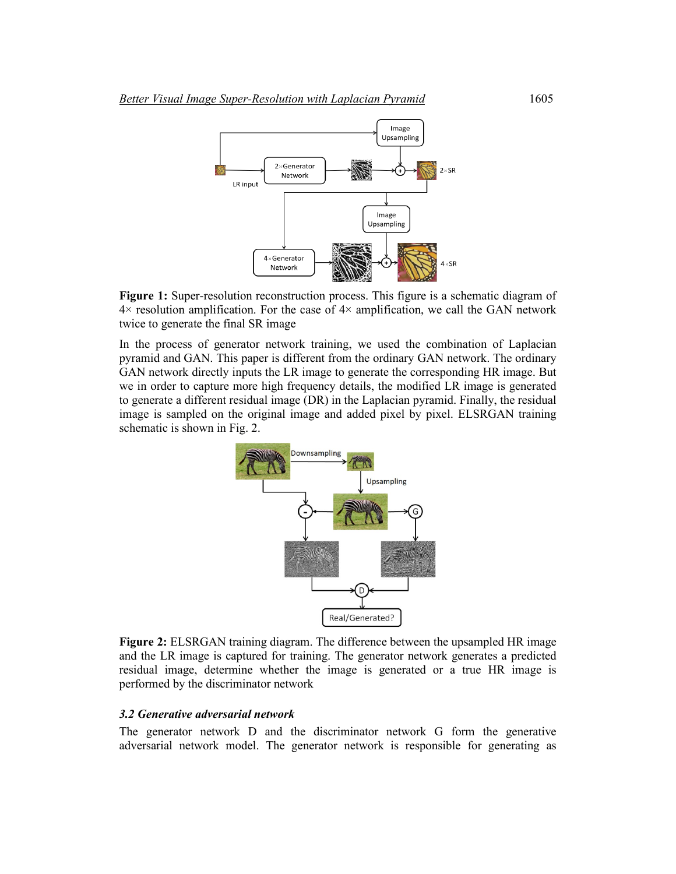

**Figure 1:** Super-resolution reconstruction process. This figure is a schematic diagram of  $4\times$  resolution amplification. For the case of  $4\times$  amplification, we call the GAN network twice to generate the final SR image

In the process of generator network training, we used the combination of Laplacian pyramid and GAN. This paper is different from the ordinary GAN network. The ordinary GAN network directly inputs the LR image to generate the corresponding HR image. But we in order to capture more high frequency details, the modified LR image is generated to generate a different residual image (DR) in the Laplacian pyramid. Finally, the residual image is sampled on the original image and added pixel by pixel. ELSRGAN training schematic is shown in Fig. 2.



**Figure 2:** ELSRGAN training diagram. The difference between the upsampled HR image and the LR image is captured for training. The generator network generates a predicted residual image, determine whether the image is generated or a true HR image is performed by the discriminator network

#### *3.2 Generative adversarial network*

The generator network D and the discriminator network G form the generative adversarial network model. The generator network is responsible for generating as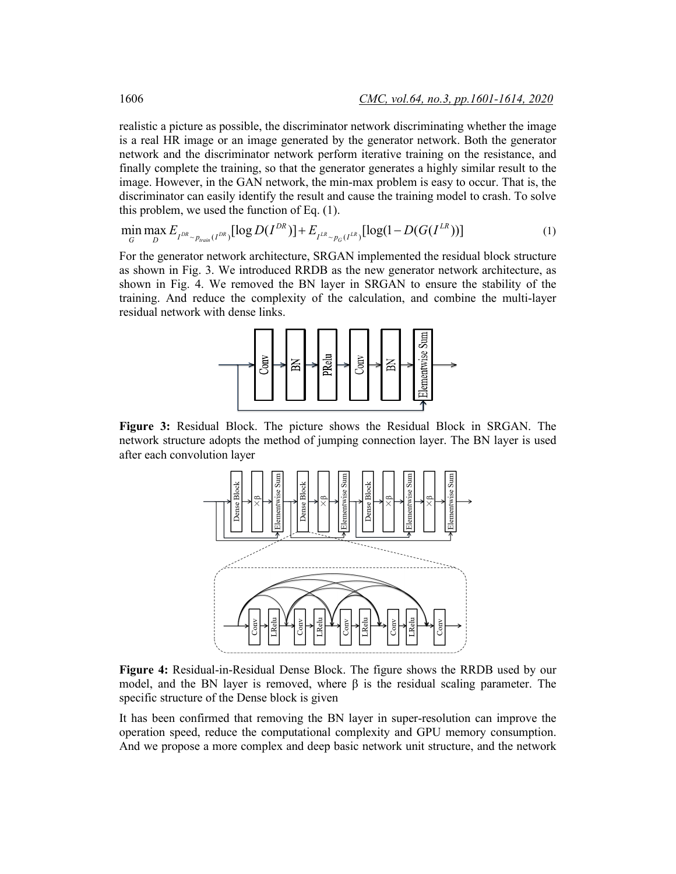realistic a picture as possible, the discriminator network discriminating whether the image is a real HR image or an image generated by the generator network. Both the generator network and the discriminator network perform iterative training on the resistance, and finally complete the training, so that the generator generates a highly similar result to the image. However, in the GAN network, the min-max problem is easy to occur. That is, the discriminator can easily identify the result and cause the training model to crash. To solve this problem, we used the function of Eq. (1).

$$
\min_{G} \max_{D} E_{I^{DR} \sim p_{train}(I^{DR})} [\log D(I^{DR})] + E_{I^{LR} \sim p_G(I^{LR})} [\log (1 - D(G(I^{LR})))] \tag{1}
$$

For the generator network architecture, SRGAN implemented the residual block structure as shown in Fig. 3. We introduced RRDB as the new generator network architecture, as shown in Fig. 4. We removed the BN layer in SRGAN to ensure the stability of the training. And reduce the complexity of the calculation, and combine the multi-layer residual network with dense links.



**Figure 3:** Residual Block. The picture shows the Residual Block in SRGAN. The network structure adopts the method of jumping connection layer. The BN layer is used after each convolution layer



**Figure 4:** Residual-in-Residual Dense Block. The figure shows the RRDB used by our model, and the BN layer is removed, where  $\beta$  is the residual scaling parameter. The specific structure of the Dense block is given

It has been confirmed that removing the BN layer in super-resolution can improve the operation speed, reduce the computational complexity and GPU memory consumption. And we propose a more complex and deep basic network unit structure, and the network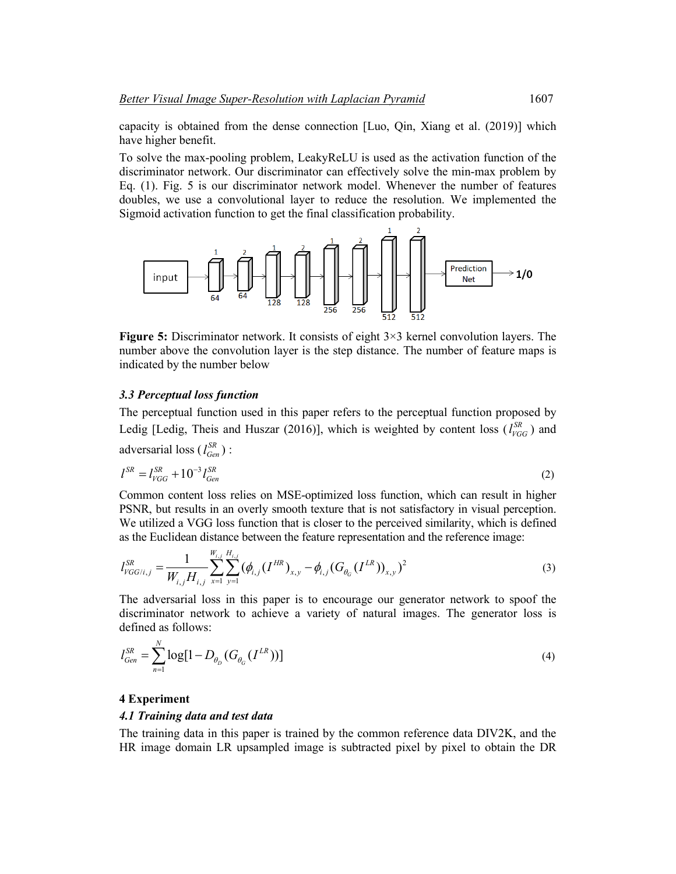capacity is obtained from the dense connection [Luo, Qin, Xiang et al. (2019)] which have higher benefit.

To solve the max-pooling problem, LeakyReLU is used as the activation function of the discriminator network. Our discriminator can effectively solve the min-max problem by Eq. (1). Fig. 5 is our discriminator network model. Whenever the number of features doubles, we use a convolutional layer to reduce the resolution. We implemented the Sigmoid activation function to get the final classification probability.



**Figure 5:** Discriminator network. It consists of eight 3×3 kernel convolution layers. The number above the convolution layer is the step distance. The number of feature maps is indicated by the number below

#### *3.3 Perceptual loss function*

The perceptual function used in this paper refers to the perceptual function proposed by Ledig [Ledig, Theis and Huszar (2016)], which is weighted by content loss ( $l_{VGG}^{SR}$ ) and adversarial loss ( $l_{Gen}^{SR}$ ) :

$$
l^{SR} = l_{VGG}^{SR} + 10^{-3} l_{Gen}^{SR}
$$
 (2)

Common content loss relies on MSE-optimized loss function, which can result in higher PSNR, but results in an overly smooth texture that is not satisfactory in visual perception. We utilized a VGG loss function that is closer to the perceived similarity, which is defined as the Euclidean distance between the feature representation and the reference image:

$$
l_{VGG/i,j}^{SR} = \frac{1}{W_{i,j}H_{i,j}} \sum_{x=1}^{W_{i,j}} \sum_{y=1}^{H_{i,j}} (\phi_{i,j}(I^{HR})_{x,y} - \phi_{i,j}(G_{\theta_G}(I^{LR}))_{x,y})^2
$$
(3)

The adversarial loss in this paper is to encourage our generator network to spoof the discriminator network to achieve a variety of natural images. The generator loss is defined as follows:

$$
l_{Gen}^{SR} = \sum_{n=1}^{N} \log[1 - D_{\theta_D} (G_{\theta_G} (I^{LR}))]
$$
\n(4)

#### **4 Experiment**

*N*

#### *4.1 Training data and test data*

The training data in this paper is trained by the common reference data DIV2K, and the HR image domain LR upsampled image is subtracted pixel by pixel to obtain the DR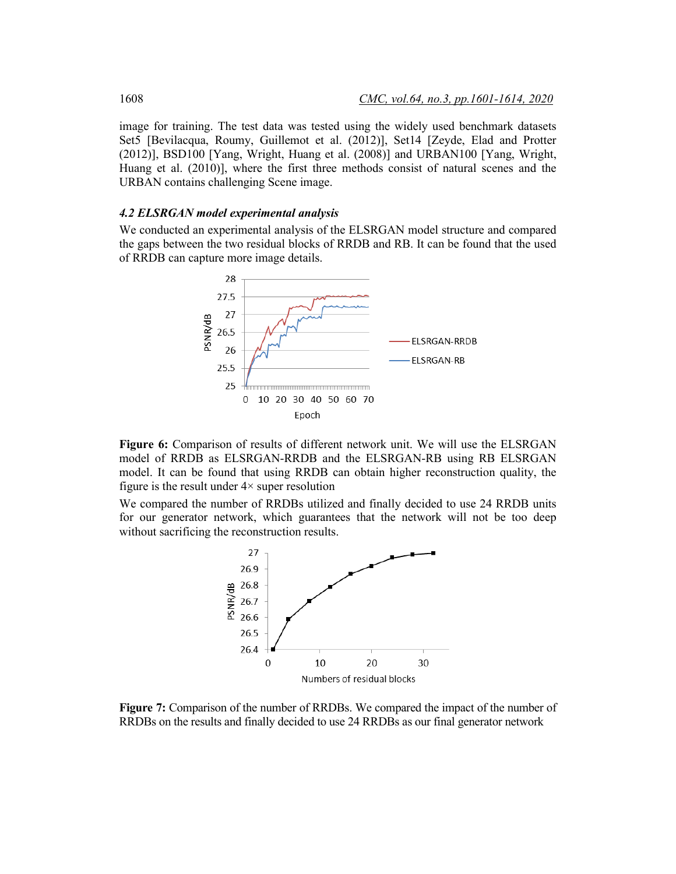image for training. The test data was tested using the widely used benchmark datasets Set5 [Bevilacqua, Roumy, Guillemot et al. (2012)], Set14 [Zeyde, Elad and Protter (2012)], BSD100 [Yang, Wright, Huang et al. (2008)] and URBAN100 [Yang, Wright, Huang et al. (2010)], where the first three methods consist of natural scenes and the URBAN contains challenging Scene image.

#### *4.2 ELSRGAN model experimental analysis*

We conducted an experimental analysis of the ELSRGAN model structure and compared the gaps between the two residual blocks of RRDB and RB. It can be found that the used of RRDB can capture more image details.



**Figure 6:** Comparison of results of different network unit. We will use the ELSRGAN model of RRDB as ELSRGAN-RRDB and the ELSRGAN-RB using RB ELSRGAN model. It can be found that using RRDB can obtain higher reconstruction quality, the figure is the result under  $4\times$  super resolution

We compared the number of RRDBs utilized and finally decided to use 24 RRDB units for our generator network, which guarantees that the network will not be too deep without sacrificing the reconstruction results.



**Figure 7:** Comparison of the number of RRDBs. We compared the impact of the number of RRDBs on the results and finally decided to use 24 RRDBs as our final generator network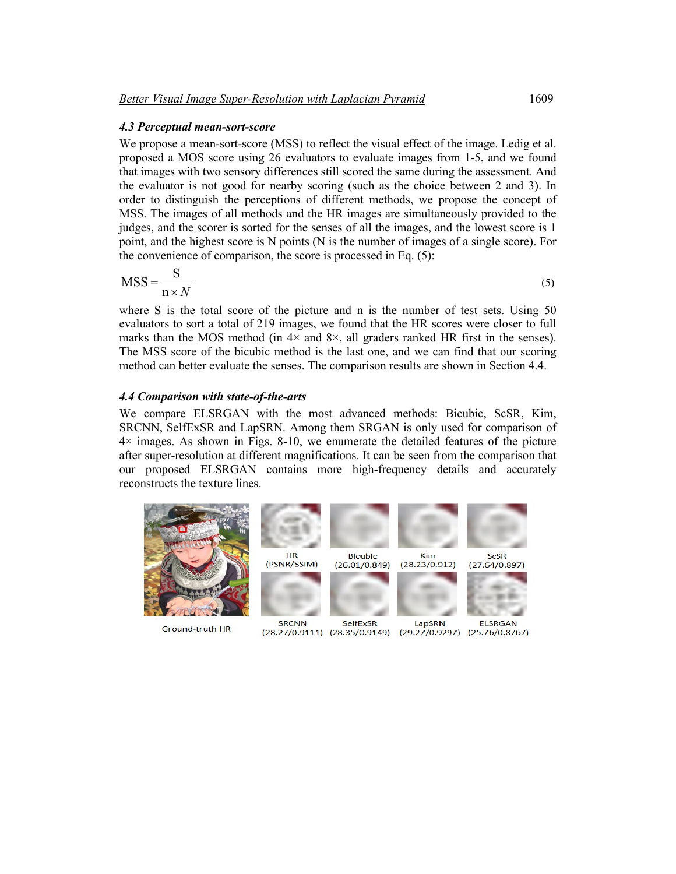#### *4.3 Perceptual mean-sort-score*

We propose a mean-sort-score (MSS) to reflect the visual effect of the image. Ledig et al. proposed a MOS score using 26 evaluators to evaluate images from 1-5, and we found that images with two sensory differences still scored the same during the assessment. And the evaluator is not good for nearby scoring (such as the choice between 2 and 3). In order to distinguish the perceptions of different methods, we propose the concept of MSS. The images of all methods and the HR images are simultaneously provided to the judges, and the scorer is sorted for the senses of all the images, and the lowest score is 1 point, and the highest score is N points (N is the number of images of a single score). For the convenience of comparison, the score is processed in Eq. (5):

$$
MSS = \frac{S}{n \times N} \tag{5}
$$

where S is the total score of the picture and n is the number of test sets. Using 50 evaluators to sort a total of 219 images, we found that the HR scores were closer to full marks than the MOS method (in  $4 \times$  and  $8 \times$ , all graders ranked HR first in the senses). The MSS score of the bicubic method is the last one, and we can find that our scoring method can better evaluate the senses. The comparison results are shown in Section 4.4.

### *4.4 Comparison with state-of-the-arts*

We compare ELSRGAN with the most advanced methods: Bicubic, ScSR, Kim, SRCNN, SelfExSR and LapSRN. Among them SRGAN is only used for comparison of  $4\times$  images. As shown in Figs. 8-10, we enumerate the detailed features of the picture after super-resolution at different magnifications. It can be seen from the comparison that our proposed ELSRGAN contains more high-frequency details and accurately reconstructs the texture lines.



Ground-truth HR

(28.27/0.9111) (28.35/0.9149) (29.27/0.9297) (25.76/0.8767)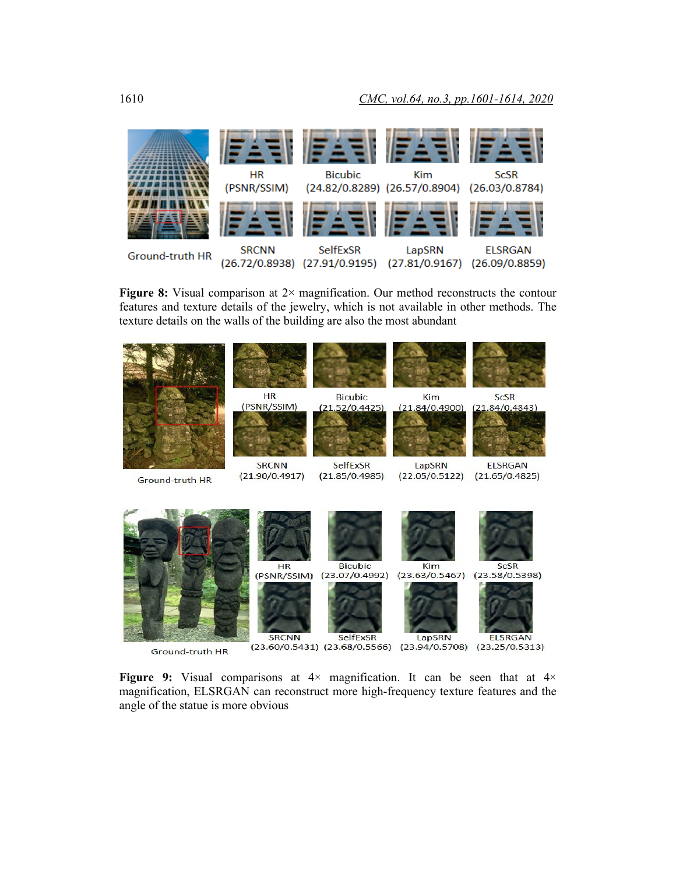

**Figure 8:** Visual comparison at 2× magnification. Our method reconstructs the contour features and texture details of the jewelry, which is not available in other methods. The texture details on the walls of the building are also the most abundant



Ground-truth HR

**Figure** 9: Visual comparisons at  $4 \times$  magnification. It can be seen that at  $4 \times$ magnification, ELSRGAN can reconstruct more high-frequency texture features and the angle of the statue is more obvious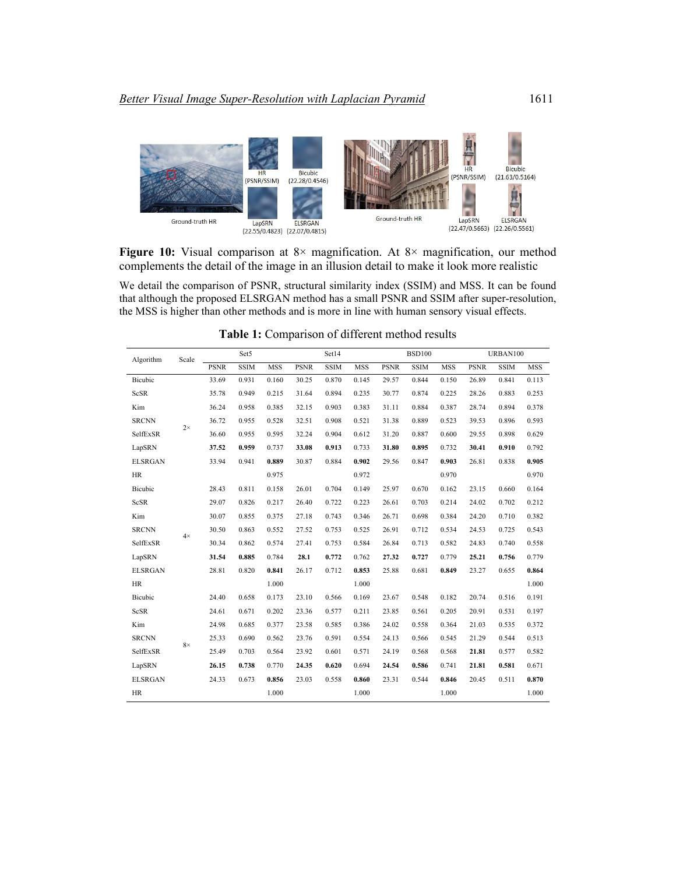

**Figure 10:** Visual comparison at 8× magnification. At 8× magnification, our method complements the detail of the image in an illusion detail to make it look more realistic

We detail the comparison of PSNR, structural similarity index (SSIM) and MSS. It can be found that although the proposed ELSRGAN method has a small PSNR and SSIM after super-resolution, the MSS is higher than other methods and is more in line with human sensory visual effects.

| Algorithm      | Scale     | Set5        |             |            | Set14       |             |            | <b>BSD100</b> |             |            | URBAN100    |             |            |
|----------------|-----------|-------------|-------------|------------|-------------|-------------|------------|---------------|-------------|------------|-------------|-------------|------------|
|                |           | <b>PSNR</b> | <b>SSIM</b> | <b>MSS</b> | <b>PSNR</b> | <b>SSIM</b> | <b>MSS</b> | <b>PSNR</b>   | <b>SSIM</b> | <b>MSS</b> | <b>PSNR</b> | <b>SSIM</b> | <b>MSS</b> |
| Bicubic        | $2\times$ | 33.69       | 0.931       | 0.160      | 30.25       | 0.870       | 0.145      | 29.57         | 0.844       | 0.150      | 26.89       | 0.841       | 0.113      |
| ScSR           |           | 35.78       | 0.949       | 0.215      | 31.64       | 0.894       | 0.235      | 30.77         | 0.874       | 0.225      | 28.26       | 0.883       | 0.253      |
| Kim            |           | 36.24       | 0.958       | 0.385      | 32.15       | 0.903       | 0.383      | 31.11         | 0.884       | 0.387      | 28.74       | 0.894       | 0.378      |
| <b>SRCNN</b>   |           | 36.72       | 0.955       | 0.528      | 32.51       | 0.908       | 0.521      | 31.38         | 0.889       | 0.523      | 39.53       | 0.896       | 0.593      |
| SelfExSR       |           | 36.60       | 0.955       | 0.595      | 32.24       | 0.904       | 0.612      | 31.20         | 0.887       | 0.600      | 29.55       | 0.898       | 0.629      |
| LapSRN         |           | 37.52       | 0.959       | 0.737      | 33.08       | 0.913       | 0.733      | 31.80         | 0.895       | 0.732      | 30.41       | 0.910       | 0.792      |
| <b>ELSRGAN</b> |           | 33.94       | 0.941       | 0.889      | 30.87       | 0.884       | 0.902      | 29.56         | 0.847       | 0.903      | 26.81       | 0.838       | 0.905      |
| <b>HR</b>      |           |             |             | 0.975      |             |             | 0.972      |               |             | 0.970      |             |             | 0.970      |
| Bicubic        | $4\times$ | 28.43       | 0.811       | 0.158      | 26.01       | 0.704       | 0.149      | 25.97         | 0.670       | 0.162      | 23.15       | 0.660       | 0.164      |
| ScSR           |           | 29.07       | 0.826       | 0.217      | 26.40       | 0.722       | 0.223      | 26.61         | 0.703       | 0.214      | 24.02       | 0.702       | 0.212      |
| Kim            |           | 30.07       | 0.855       | 0.375      | 27.18       | 0.743       | 0.346      | 26.71         | 0.698       | 0.384      | 24.20       | 0.710       | 0.382      |
| <b>SRCNN</b>   |           | 30.50       | 0.863       | 0.552      | 27.52       | 0.753       | 0.525      | 26.91         | 0.712       | 0.534      | 24.53       | 0.725       | 0.543      |
| SelfExSR       |           | 30.34       | 0.862       | 0.574      | 27.41       | 0.753       | 0.584      | 26.84         | 0.713       | 0.582      | 24.83       | 0.740       | 0.558      |
| LapSRN         |           | 31.54       | 0.885       | 0.784      | 28.1        | 0.772       | 0.762      | 27.32         | 0.727       | 0.779      | 25.21       | 0.756       | 0.779      |
| <b>ELSRGAN</b> |           | 28.81       | 0.820       | 0.841      | 26.17       | 0.712       | 0.853      | 25.88         | 0.681       | 0.849      | 23.27       | 0.655       | 0.864      |
| HR             |           |             |             | 1.000      |             |             | 1.000      |               |             |            |             |             | 1.000      |
| Bicubic        | $8\times$ | 24.40       | 0.658       | 0.173      | 23.10       | 0.566       | 0.169      | 23.67         | 0.548       | 0.182      | 20.74       | 0.516       | 0.191      |
| ScSR           |           | 24.61       | 0.671       | 0.202      | 23.36       | 0.577       | 0.211      | 23.85         | 0.561       | 0.205      | 20.91       | 0.531       | 0.197      |
| Kim            |           | 24.98       | 0.685       | 0.377      | 23.58       | 0.585       | 0.386      | 24.02         | 0.558       | 0.364      | 21.03       | 0.535       | 0.372      |
| <b>SRCNN</b>   |           | 25.33       | 0.690       | 0.562      | 23.76       | 0.591       | 0.554      | 24.13         | 0.566       | 0.545      | 21.29       | 0.544       | 0.513      |
| SelfExSR       |           | 25.49       | 0.703       | 0.564      | 23.92       | 0.601       | 0.571      | 24.19         | 0.568       | 0.568      | 21.81       | 0.577       | 0.582      |
| LapSRN         |           | 26.15       | 0.738       | 0.770      | 24.35       | 0.620       | 0.694      | 24.54         | 0.586       | 0.741      | 21.81       | 0.581       | 0.671      |
| <b>ELSRGAN</b> |           | 24.33       | 0.673       | 0.856      | 23.03       | 0.558       | 0.860      | 23.31         | 0.544       | 0.846      | 20.45       | 0.511       | 0.870      |
| <b>HR</b>      |           |             |             | 1.000      |             |             | 1.000      |               |             | 1.000      |             |             | 1.000      |

**Table 1:** Comparison of different method results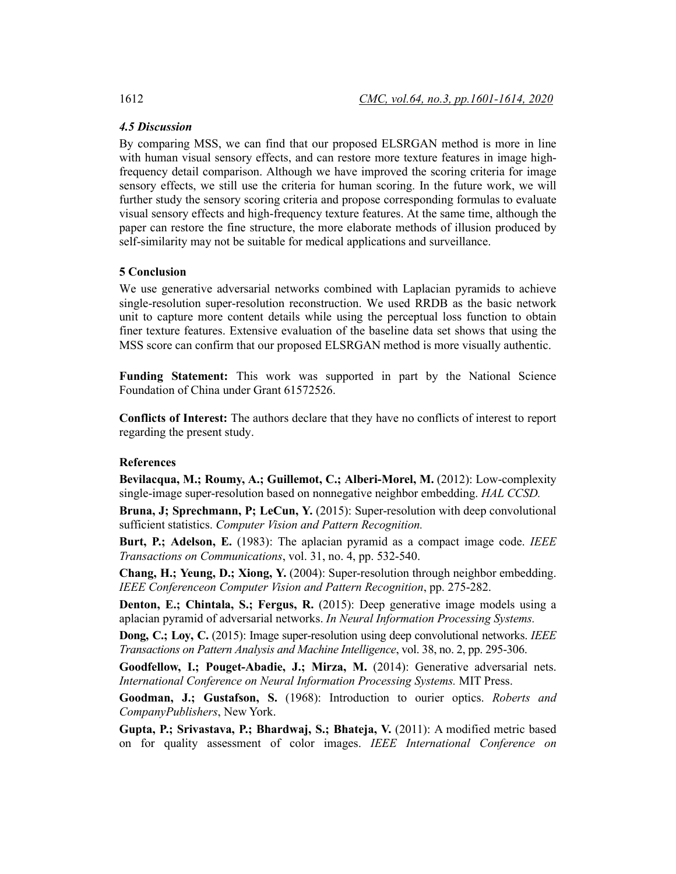## *4.5 Discussion*

By comparing MSS, we can find that our proposed ELSRGAN method is more in line with human visual sensory effects, and can restore more texture features in image highfrequency detail comparison. Although we have improved the scoring criteria for image sensory effects, we still use the criteria for human scoring. In the future work, we will further study the sensory scoring criteria and propose corresponding formulas to evaluate visual sensory effects and high-frequency texture features. At the same time, although the paper can restore the fine structure, the more elaborate methods of illusion produced by self-similarity may not be suitable for medical applications and surveillance.

## **5 Conclusion**

We use generative adversarial networks combined with Laplacian pyramids to achieve single-resolution super-resolution reconstruction. We used RRDB as the basic network unit to capture more content details while using the perceptual loss function to obtain finer texture features. Extensive evaluation of the baseline data set shows that using the MSS score can confirm that our proposed ELSRGAN method is more visually authentic.

**Funding Statement:** This work was supported in part by the National Science Foundation of China under Grant 61572526.

**Conflicts of Interest:** The authors declare that they have no conflicts of interest to report regarding the present study.

## **References**

**Bevilacqua, M.; Roumy, A.; Guillemot, C.; Alberi-Morel, M.** (2012): Low-complexity single-image super-resolution based on nonnegative neighbor embedding. *HAL CCSD.*

**Bruna, J; Sprechmann, P; LeCun, Y.** (2015): Super-resolution with deep convolutional sufficient statistics. *Computer Vision and Pattern Recognition.*

**Burt, P.; Adelson, E.** (1983): The aplacian pyramid as a compact image code. *IEEE Transactions on Communications*, vol. 31, no. 4, pp. 532-540.

**Chang, H.; Yeung, D.; Xiong, Y.** (2004): Super-resolution through neighbor embedding. *IEEE Conferenceon Computer Vision and Pattern Recognition*, pp. 275-282.

**Denton, E.; Chintala, S.; Fergus, R.** (2015): Deep generative image models using a aplacian pyramid of adversarial networks. *In Neural Information Processing Systems.*

**Dong, C.; Loy, C.** (2015): Image super-resolution using deep convolutional networks. *IEEE Transactions on Pattern Analysis and Machine Intelligence*, vol. 38, no. 2, pp. 295-306.

**Goodfellow, I.; Pouget-Abadie, J.; Mirza, M.** (2014): Generative adversarial nets. *International Conference on Neural Information Processing Systems.* MIT Press.

**Goodman, J.; Gustafson, S.** (1968): Introduction to ourier optics. *Roberts and CompanyPublishers*, New York.

**Gupta, P.; Srivastava, P.; Bhardwaj, S.; Bhateja, V.** (2011): A modified metric based on for quality assessment of color images. *IEEE International Conference on*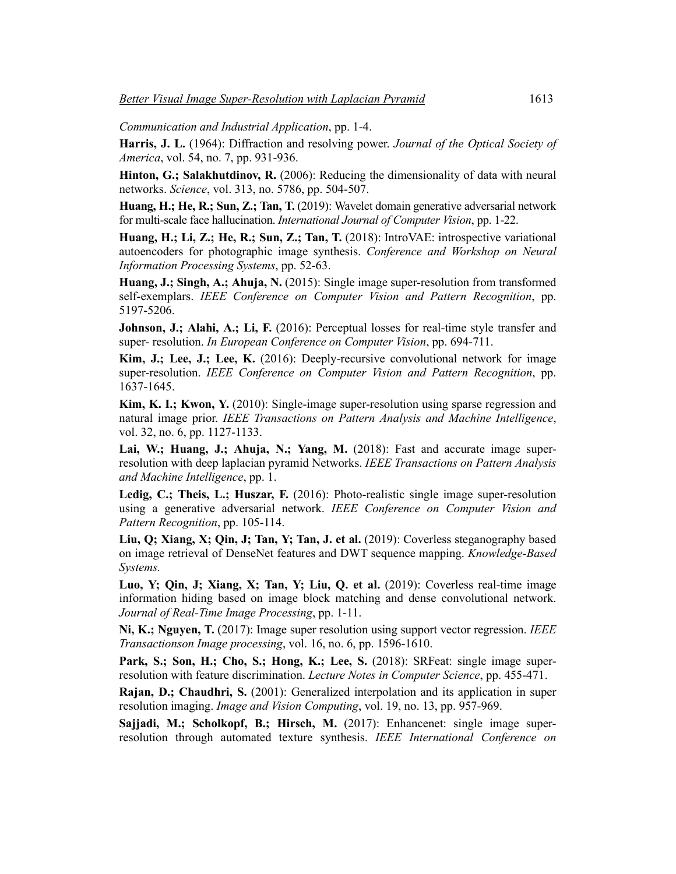*Communication and Industrial Application*, pp. 1-4.

**Harris, J. L.** (1964): Diffraction and resolving power. *Journal of the Optical Society of America*, vol. 54, no. 7, pp. 931-936.

**Hinton, G.; Salakhutdinov, R.** (2006): Reducing the dimensionality of data with neural networks. *Science*, vol. 313, no. 5786, pp. 504-507.

**Huang, H.; He, R.; Sun, Z.; Tan, T.** (2019): Wavelet domain generative adversarial network for multi-scale face hallucination. *International Journal of Computer Vision*, pp. 1-22.

**Huang, H.; Li, Z.; He, R.; Sun, Z.; Tan, T.** (2018): IntroVAE: introspective variational autoencoders for photographic image synthesis. *Conference and Workshop on Neural Information Processing Systems*, pp. 52-63.

**Huang, J.; Singh, A.; Ahuja, N.** (2015): Single image super-resolution from transformed self-exemplars. *IEEE Conference on Computer Vision and Pattern Recognition*, pp. 5197-5206.

Johnson, J.; Alahi, A.; Li, F. (2016): Perceptual losses for real-time style transfer and super- resolution. *In European Conference on Computer Vision*, pp. 694-711.

**Kim, J.; Lee, J.; Lee, K.** (2016): Deeply-recursive convolutional network for image super-resolution. *IEEE Conference on Computer Vision and Pattern Recognition*, pp. 1637-1645.

**Kim, K. I.; Kwon, Y.** (2010): Single-image super-resolution using sparse regression and natural image prior. *IEEE Transactions on Pattern Analysis and Machine Intelligence*, vol. 32, no. 6, pp. 1127-1133.

**Lai, W.; Huang, J.; Ahuja, N.; Yang, M.** (2018): Fast and accurate image superresolution with deep laplacian pyramid Networks. *IEEE Transactions on Pattern Analysis and Machine Intelligence*, pp. 1.

**Ledig, C.; Theis, L.; Huszar, F.** (2016): Photo-realistic single image super-resolution using a generative adversarial network. *IEEE Conference on Computer Vision and Pattern Recognition*, pp. 105-114.

**Liu, Q; Xiang, X; Qin, J; Tan, Y; Tan, J. et al.** (2019): Coverless steganography based on image retrieval of DenseNet features and DWT sequence mapping. *Knowledge-Based Systems.*

**Luo, Y; Qin, J; Xiang, X; Tan, Y; Liu, Q. et al.** (2019): Coverless real-time image information hiding based on image block matching and dense convolutional network. *Journal of Real-Time Image Processing*, pp. 1-11.

**Ni, K.; Nguyen, T.** (2017): Image super resolution using support vector regression. *IEEE Transactionson Image processing*, vol. 16, no. 6, pp. 1596-1610.

**Park, S.; Son, H.; Cho, S.; Hong, K.; Lee, S.** (2018): SRFeat: single image superresolution with feature discrimination. *Lecture Notes in Computer Science*, pp. 455-471.

**Rajan, D.; Chaudhri, S.** (2001): Generalized interpolation and its application in super resolution imaging. *Image and Vision Computing*, vol. 19, no. 13, pp. 957-969.

**Sajjadi, M.; Scholkopf, B.; Hirsch, M.** (2017): Enhancenet: single image superresolution through automated texture synthesis. *IEEE International Conference on*